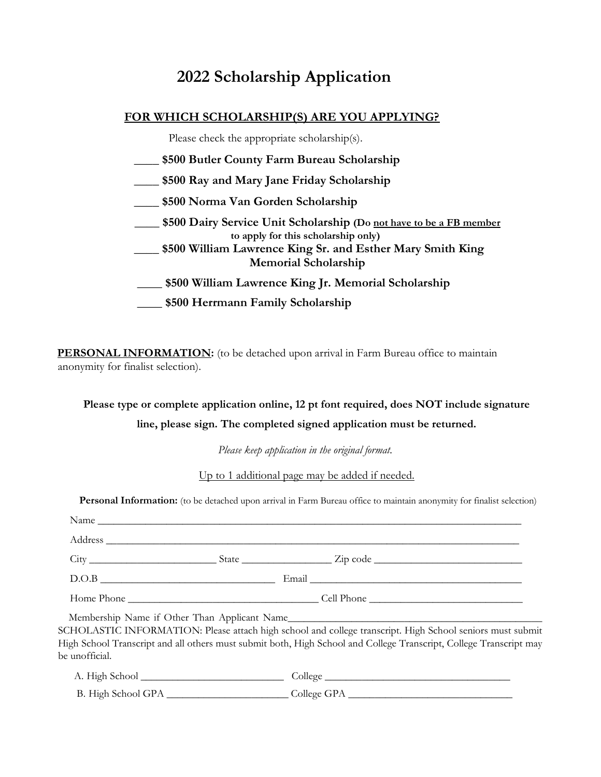# 2022 Scholarship Application

### FOR WHICH SCHOLARSHIP(S) ARE YOU APPLYING?

Please check the appropriate scholarship(s).

- \$500 Butler County Farm Bureau Scholarship
- \_\_\_\_ \$500 Ray and Mary Jane Friday Scholarship
- \_\_\_\_ \$500 Norma Van Gorden Scholarship
- **EXECUTE:** \$500 Dairy Service Unit Scholarship (Do not have to be a FB member to apply for this scholarship only)
- \$500 William Lawrence King Sr. and Esther Mary Smith King Memorial Scholarship
- \_\_\_\_ \$500 William Lawrence King Jr. Memorial Scholarship
- \_\_\_\_ \$500 Herrmann Family Scholarship

PERSONAL INFORMATION: (to be detached upon arrival in Farm Bureau office to maintain anonymity for finalist selection).

# Please type or complete application online, 12 pt font required, does NOT include signature line, please sign. The completed signed application must be returned.

Please keep application in the original format.

Up to 1 additional page may be added if needed.

Personal Information: (to be detached upon arrival in Farm Bureau office to maintain anonymity for finalist selection)

|       | $\frac{City}{y}$ State $\frac{City}{x}$ State $\frac{C}{x}$ |  |
|-------|-------------------------------------------------------------|--|
| D.O.B |                                                             |  |
|       |                                                             |  |

High School Transcript and all others must submit both, High School and College Transcript, College Transcript may be unofficial.

| A. High School     | College     |
|--------------------|-------------|
| B. High School GPA | College GPA |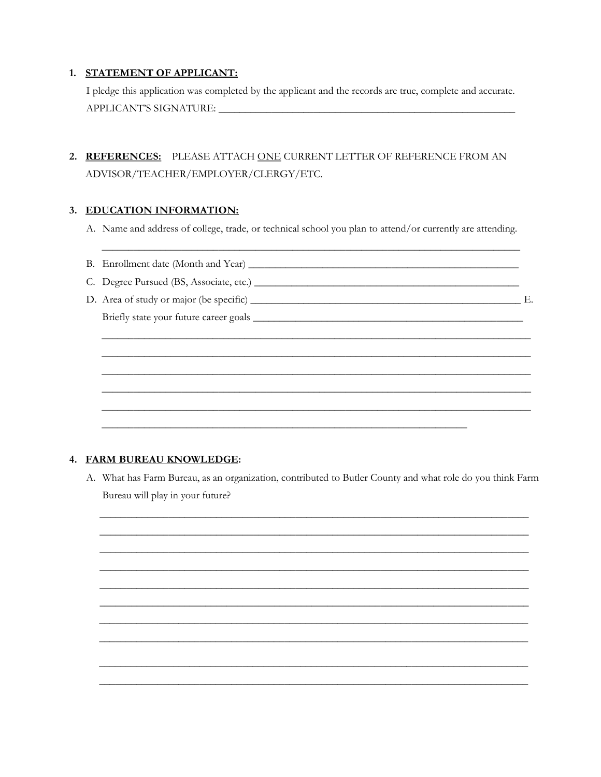#### 1. STATEMENT OF APPLICANT:

I pledge this application was completed by the applicant and the records are true, complete and accurate. 

## 2. REFERENCES: PLEASE ATTACH ONE CURRENT LETTER OF REFERENCE FROM AN ADVISOR/TEACHER/EMPLOYER/CLERGY/ETC.

#### 3. EDUCATION INFORMATION:

A. Name and address of college, trade, or technical school you plan to attend/or currently are attending.

#### 4. FARM BUREAU KNOWLEDGE:

A. What has Farm Bureau, as an organization, contributed to Butler County and what role do you think Farm Bureau will play in your future?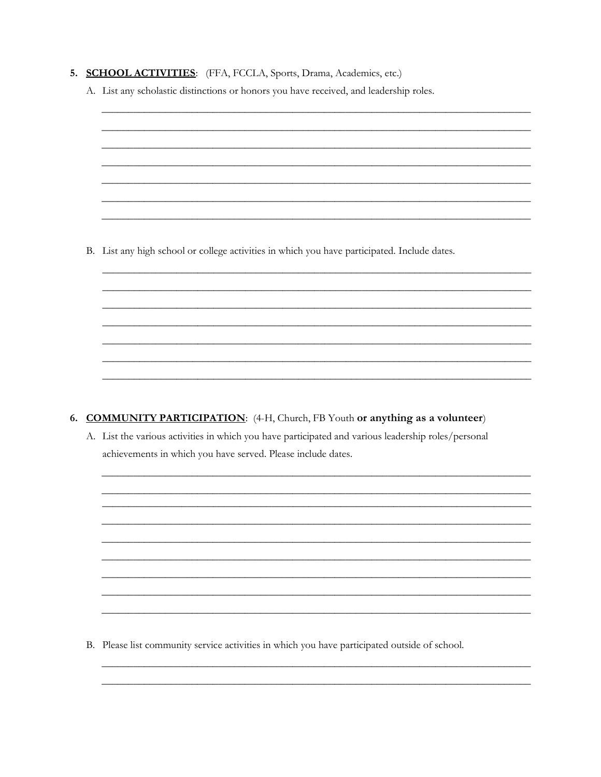| 5. SCHOOL ACTIVITIES: (FFA, FCCLA, Sports, Drama, Academics, etc.) |  |
|--------------------------------------------------------------------|--|
|--------------------------------------------------------------------|--|

A. List any scholastic distinctions or honors you have received, and leadership roles.

B. List any high school or college activities in which you have participated. Include dates.

6. COMMUNITY PARTICIPATION: (4-H, Church, FB Youth or anything as a volunteer)

A. List the various activities in which you have participated and various leadership roles/personal achievements in which you have served. Please include dates.

B. Please list community service activities in which you have participated outside of school.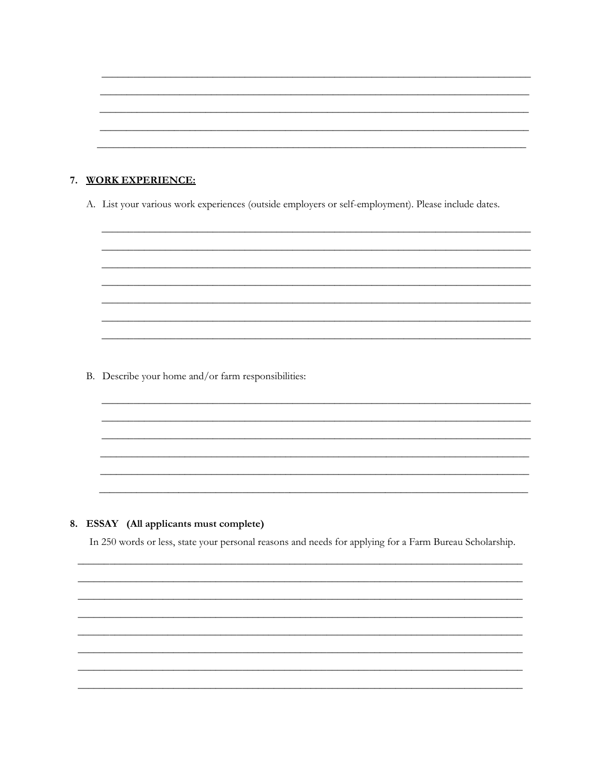#### 7. WORK EXPERIENCE:

A. List your various work experiences (outside employers or self-employment). Please include dates.

B. Describe your home and/or farm responsibilities:

#### 8. ESSAY (All applicants must complete)

In 250 words or less, state your personal reasons and needs for applying for a Farm Bureau Scholarship.